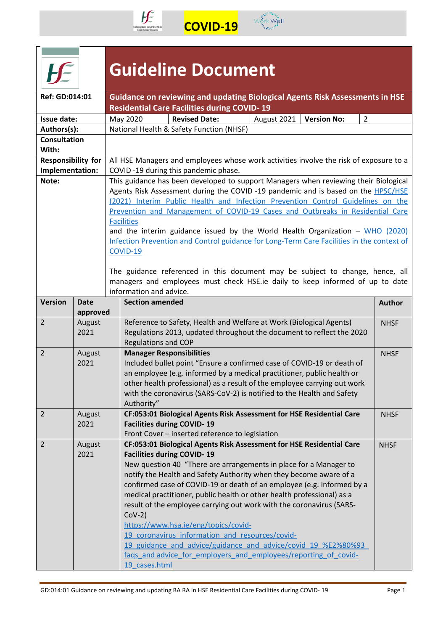



|                              |                | <b>Guideline Document</b>                                                                                                                                                  |                                                                                                                                                                                                                                                                                                                                                                                                                                                                                                                                                                                                                                                                                               |             |                    |                |  |  |  |
|------------------------------|----------------|----------------------------------------------------------------------------------------------------------------------------------------------------------------------------|-----------------------------------------------------------------------------------------------------------------------------------------------------------------------------------------------------------------------------------------------------------------------------------------------------------------------------------------------------------------------------------------------------------------------------------------------------------------------------------------------------------------------------------------------------------------------------------------------------------------------------------------------------------------------------------------------|-------------|--------------------|----------------|--|--|--|
| Ref: GD:014:01               |                |                                                                                                                                                                            | Guidance on reviewing and updating Biological Agents Risk Assessments in HSE<br><b>Residential Care Facilities during COVID-19</b>                                                                                                                                                                                                                                                                                                                                                                                                                                                                                                                                                            |             |                    |                |  |  |  |
| Issue date:                  |                | May 2020                                                                                                                                                                   | <b>Revised Date:</b>                                                                                                                                                                                                                                                                                                                                                                                                                                                                                                                                                                                                                                                                          | August 2021 | <b>Version No:</b> | $\overline{2}$ |  |  |  |
| Authors(s):                  |                |                                                                                                                                                                            | National Health & Safety Function (NHSF)                                                                                                                                                                                                                                                                                                                                                                                                                                                                                                                                                                                                                                                      |             |                    |                |  |  |  |
| <b>Consultation</b><br>With: |                |                                                                                                                                                                            |                                                                                                                                                                                                                                                                                                                                                                                                                                                                                                                                                                                                                                                                                               |             |                    |                |  |  |  |
| <b>Responsibility for</b>    |                |                                                                                                                                                                            | All HSE Managers and employees whose work activities involve the risk of exposure to a                                                                                                                                                                                                                                                                                                                                                                                                                                                                                                                                                                                                        |             |                    |                |  |  |  |
| Implementation:              |                |                                                                                                                                                                            | COVID-19 during this pandemic phase.                                                                                                                                                                                                                                                                                                                                                                                                                                                                                                                                                                                                                                                          |             |                    |                |  |  |  |
| Note:                        |                | <b>Facilities</b><br>COVID-19<br>information and advice.                                                                                                                   | This guidance has been developed to support Managers when reviewing their Biological<br>Agents Risk Assessment during the COVID -19 pandemic and is based on the HPSC/HSE<br>(2021) Interim Public Health and Infection Prevention Control Guidelines on the<br>Prevention and Management of COVID-19 Cases and Outbreaks in Residential Care<br>and the interim guidance issued by the World Health Organization - WHO (2020)<br>Infection Prevention and Control guidance for Long-Term Care Facilities in the context of<br>The guidance referenced in this document may be subject to change, hence, all<br>managers and employees must check HSE.ie daily to keep informed of up to date |             |                    |                |  |  |  |
| <b>Version</b>               | <b>Date</b>    | <b>Section amended</b>                                                                                                                                                     |                                                                                                                                                                                                                                                                                                                                                                                                                                                                                                                                                                                                                                                                                               |             |                    | <b>Author</b>  |  |  |  |
|                              | approved       |                                                                                                                                                                            |                                                                                                                                                                                                                                                                                                                                                                                                                                                                                                                                                                                                                                                                                               |             |                    |                |  |  |  |
| $\overline{2}$               | August<br>2021 | Reference to Safety, Health and Welfare at Work (Biological Agents)<br>Regulations 2013, updated throughout the document to reflect the 2020<br><b>Regulations and COP</b> |                                                                                                                                                                                                                                                                                                                                                                                                                                                                                                                                                                                                                                                                                               |             |                    |                |  |  |  |
| $\overline{2}$               | August<br>2021 | Authority"                                                                                                                                                                 | <b>Manager Responsibilities</b><br><b>NHSF</b><br>Included bullet point "Ensure a confirmed case of COVID-19 or death of<br>an employee (e.g. informed by a medical practitioner, public health or<br>other health professional) as a result of the employee carrying out work<br>with the coronavirus (SARS-CoV-2) is notified to the Health and Safety                                                                                                                                                                                                                                                                                                                                      |             |                    |                |  |  |  |
| $2^{\circ}$                  | August<br>2021 |                                                                                                                                                                            | CF:053:01 Biological Agents Risk Assessment for HSE Residential Care<br><b>NHSF</b><br><b>Facilities during COVID-19</b><br>Front Cover - inserted reference to legislation                                                                                                                                                                                                                                                                                                                                                                                                                                                                                                                   |             |                    |                |  |  |  |
| $\overline{2}$               | August<br>2021 | <b>Facilities during COVID-19</b><br>$COV-2)$<br>19 cases.html                                                                                                             | CF:053:01 Biological Agents Risk Assessment for HSE Residential Care<br>New question 40 "There are arrangements in place for a Manager to<br>notify the Health and Safety Authority when they become aware of a<br>confirmed case of COVID-19 or death of an employee (e.g. informed by a<br>medical practitioner, public health or other health professional) as a<br>result of the employee carrying out work with the coronavirus (SARS-<br>https://www.hsa.ie/eng/topics/covid-<br>19 coronavirus information and resources/covid-<br>19 guidance and advice/guidance and advice/covid 19 %E2%80%93<br>faqs and advice for employers and employees/reporting of covid-                    |             |                    | <b>NHSF</b>    |  |  |  |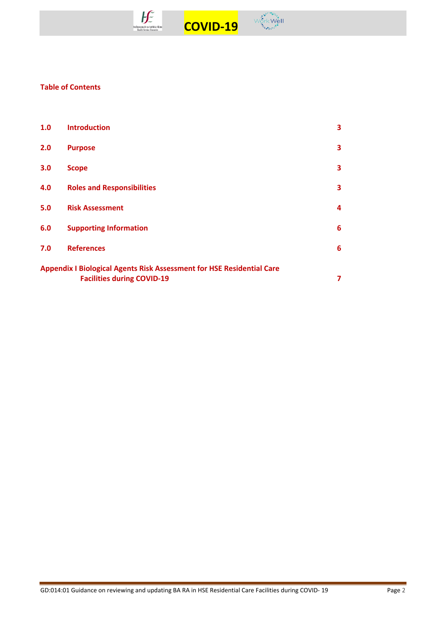



# **Table of Contents**

| 1.0                                                                                                               | <b>Introduction</b>               | 3                       |  |
|-------------------------------------------------------------------------------------------------------------------|-----------------------------------|-------------------------|--|
| 2.0                                                                                                               | <b>Purpose</b>                    | $\overline{\mathbf{3}}$ |  |
| 3.0                                                                                                               | <b>Scope</b>                      | 3                       |  |
| 4.0                                                                                                               | <b>Roles and Responsibilities</b> | 3                       |  |
| 5.0                                                                                                               | <b>Risk Assessment</b>            | 4                       |  |
| 6.0                                                                                                               | <b>Supporting Information</b>     | 6                       |  |
| 7.0                                                                                                               | <b>References</b>                 | 6                       |  |
| <b>Appendix I Biological Agents Risk Assessment for HSE Residential Care</b><br><b>Facilities during COVID-19</b> |                                   |                         |  |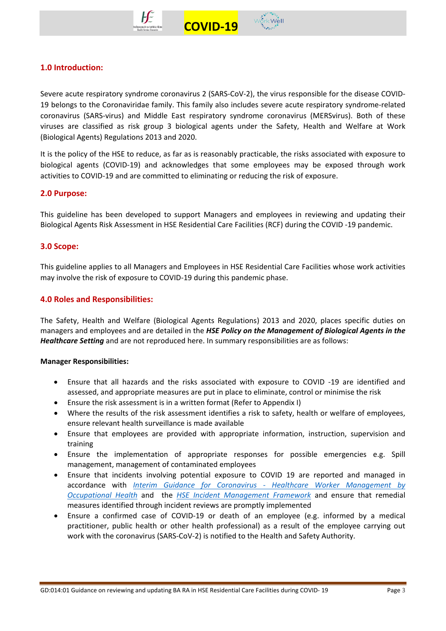



Severe acute respiratory syndrome coronavirus 2 (SARS-CoV-2), the virus responsible for the disease COVID-19 belongs to the Coronaviridae family. This family also includes severe acute respiratory syndrome-related coronavirus (SARS-virus) and Middle East respiratory syndrome coronavirus (MERSvirus). Both of these viruses are classified as risk group 3 biological agents under the Safety, Health and Welfare at Work (Biological Agents) Regulations 2013 and 2020.

 **COVID-19** 

It is the policy of the HSE to reduce, as far as is reasonably practicable, the risks associated with exposure to biological agents (COVID-19) and acknowledges that some employees may be exposed through work activities to COVID-19 and are committed to eliminating or reducing the risk of exposure.

# **2.0 Purpose:**

This guideline has been developed to support Managers and employees in reviewing and updating their Biological Agents Risk Assessment in HSE Residential Care Facilities (RCF) during the COVID -19 pandemic.

## **3.0 Scope:**

This guideline applies to all Managers and Employees in HSE Residential Care Facilities whose work activities may involve the risk of exposure to COVID-19 during this pandemic phase.

# **4.0 Roles and Responsibilities:**

The Safety, Health and Welfare (Biological Agents Regulations) 2013 and 2020, places specific duties on managers and employees and are detailed in the *HSE Policy on the Management of Biological Agents in the Healthcare Setting* and are not reproduced here. In summary responsibilities are as follows:

## **Manager Responsibilities:**

- Ensure that all hazards and the risks associated with exposure to COVID -19 are identified and assessed, and appropriate measures are put in place to eliminate, control or minimise the risk
- Ensure the risk assessment is in a written format (Refer to Appendix I)
- Where the results of the risk assessment identifies a risk to safety, health or welfare of employees, ensure relevant health surveillance is made available
- Ensure that employees are provided with appropriate information, instruction, supervision and training
- Ensure the implementation of appropriate responses for possible emergencies e.g. Spill management, management of contaminated employees
- Ensure that incidents involving potential exposure to COVID 19 are reported and managed in accordance with *Interim Guidance for Coronavirus - [Healthcare Worker Management by](https://www.hse.ie/eng/staff/workplace-health-and-wellbeing-unit/covid-19-guidance/)  [Occupational Health](https://www.hse.ie/eng/staff/workplace-health-and-wellbeing-unit/covid-19-guidance/)* and the *[HSE Incident Management Framework](https://www.hse.ie/eng/about/qavd/incident-management/)* and ensure that remedial measures identified through incident reviews are promptly implemented
- Ensure a confirmed case of COVID-19 or death of an employee (e.g. informed by a medical practitioner, public health or other health professional) as a result of the employee carrying out work with the coronavirus (SARS-CoV-2) is notified to the Health and Safety Authority.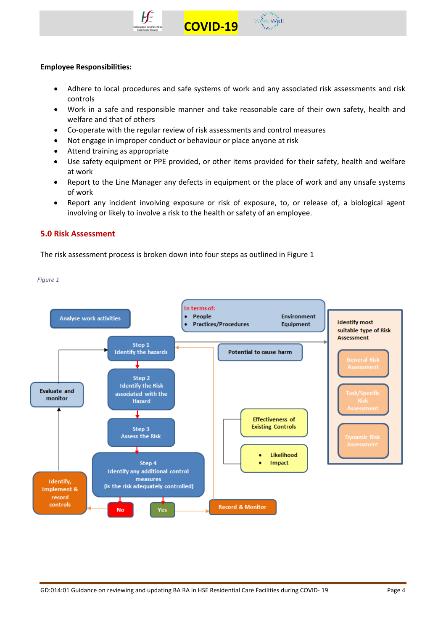



#### **Employee Responsibilities:**

• Adhere to local procedures and safe systems of work and any associated risk assessments and risk controls

 **COVID-19** 

- Work in a safe and responsible manner and take reasonable care of their own safety, health and welfare and that of others
- Co-operate with the regular review of risk assessments and control measures
- Not engage in improper conduct or behaviour or place anyone at risk
- Attend training as appropriate
- Use safety equipment or PPE provided, or other items provided for their safety, health and welfare at work
- Report to the Line Manager any defects in equipment or the place of work and any unsafe systems of work
- Report any incident involving exposure or risk of exposure, to, or release of, a biological agent involving or likely to involve a risk to the health or safety of an employee.

## **5.0 Risk Assessment**

The risk assessment process is broken down into four steps as outlined in Figure 1



*Figure 1*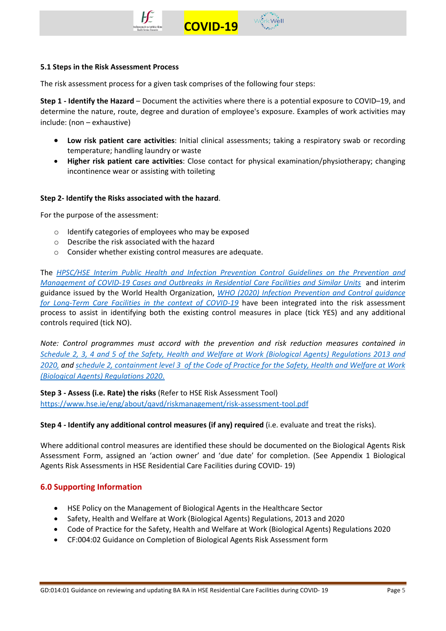



#### **5.1 Steps in the Risk Assessment Process**

The risk assessment process for a given task comprises of the following four steps:

**Step 1 - Identify the Hazard** – Document the activities where there is a potential exposure to COVID–19, and determine the nature, route, degree and duration of employee's exposure. Examples of work activities may include: (non – exhaustive)

 **COVID-19** 

- **Low risk patient care activities**: Initial clinical assessments; taking a respiratory swab or recording temperature; handling laundry or waste
- **Higher risk patient care activities**: Close contact for physical examination/physiotherapy; changing incontinence wear or assisting with toileting

#### **Step 2- Identify the Risks associated with the hazard**.

For the purpose of the assessment:

- o Identify categories of employees who may be exposed
- o Describe the risk associated with the hazard
- o Consider whether existing control measures are adequate.

The *[HPSC/HSE Interim Public Health and Infection Prevention Control Guidelines on the Prevention and](https://www.hpsc.ie/a-z/respiratory/coronavirus/novelcoronavirus/guidance/infectionpreventionandcontrolguidance/residentialcarefacilities/)  [Management of COVID-19 Cases and Outbreaks in Residential Care Facilities](https://www.hpsc.ie/a-z/respiratory/coronavirus/novelcoronavirus/guidance/infectionpreventionandcontrolguidance/residentialcarefacilities/) and Similar Units* and interim guidance issued by the World Health Organization, *[WHO \(2020\) Infection Prevention and Control guidance](https://apps.who.int/iris/handle/10665/331508)  [for Long-Term Care Facilities in the context of COVID-19](https://apps.who.int/iris/handle/10665/331508)* have been integrated into the risk assessment process to assist in identifying both the existing control measures in place (tick YES) and any additional controls required (tick NO).

*Note: Control programmes must accord with the prevention and risk reduction measures contained in [Schedule 2, 3, 4 and 5 of the Safety, Health and Welfare at Work \(Biological Agents\) Regulations 2013](https://www.hsa.ie/eng/news_events_media/news/news_and_articles/code_of_practice_for_the_safety_health_and_welfare_at_work_biological_agents_regulations_2013_and_2020.html) and [2020,](https://www.hsa.ie/eng/news_events_media/news/news_and_articles/code_of_practice_for_the_safety_health_and_welfare_at_work_biological_agents_regulations_2013_and_2020.html) and schedule [2, containment level 3 of the Code of Practice for the Safety, Health and Welfare at Work](https://www.hsa.ie/eng/news_events_media/news/news_and_articles/code_of_practice_for_the_safety_health_and_welfare_at_work_biological_agents_regulations_2013_and_2020.html)  [\(Biological Agents\) Regulations 2020](https://www.hsa.ie/eng/news_events_media/news/news_and_articles/code_of_practice_for_the_safety_health_and_welfare_at_work_biological_agents_regulations_2013_and_2020.html)*.

**Step 3 - Assess (i.e. Rate) the risks** (Refer to HSE Risk Assessment Tool) <https://www.hse.ie/eng/about/qavd/riskmanagement/risk-assessment-tool.pdf>

## **Step 4 - Identify any additional control measures (if any) required** (i.e. evaluate and treat the risks).

Where additional control measures are identified these should be documented on the Biological Agents Risk Assessment Form, assigned an 'action owner' and 'due date' for completion. (See Appendix 1 Biological Agents Risk Assessments in HSE Residential Care Facilities during COVID- 19)

## **6.0 Supporting Information**

- HSE Policy on the Management of Biological Agents in the Healthcare Sector
- Safety, Health and Welfare at Work (Biological Agents) Regulations, 2013 and 2020
- Code of Practice for the Safety, Health and Welfare at Work (Biological Agents) Regulations 2020
- CF:004:02 Guidance on Completion of Biological Agents Risk Assessment form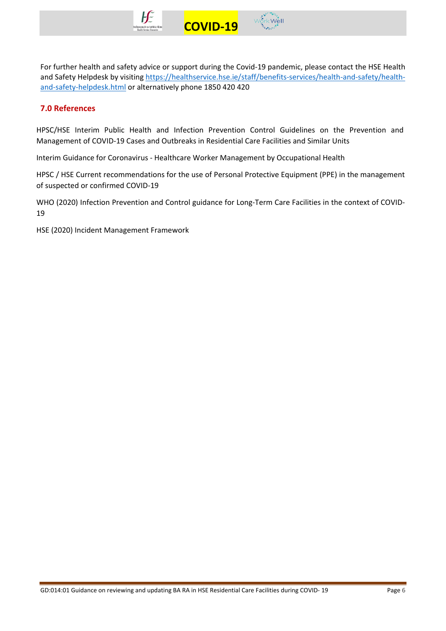



For further health and safety advice or support during the Covid-19 pandemic, please contact the HSE Health and Safety Helpdesk by visiting [https://healthservice.hse.ie/staff/benefits-services/health-and-safety/health](https://healthservice.hse.ie/staff/benefits-services/health-and-safety/health-and-safety-helpdesk.html)[and-safety-helpdesk.html](https://healthservice.hse.ie/staff/benefits-services/health-and-safety/health-and-safety-helpdesk.html) or alternatively phone 1850 420 420

# **7.0 References**

HPSC/HSE Interim Public Health and Infection Prevention Control Guidelines on the Prevention and Management of COVID-19 Cases and Outbreaks in Residential Care Facilities and Similar Units

Interim Guidance for Coronavirus - Healthcare Worker Management by Occupational Health

HPSC / HSE Current recommendations for the use of Personal Protective Equipment (PPE) in the management of suspected or confirmed COVID-19

WHO (2020) Infection Prevention and Control guidance for Long-Term Care Facilities in the context of COVID-19

HSE (2020) Incident Management Framework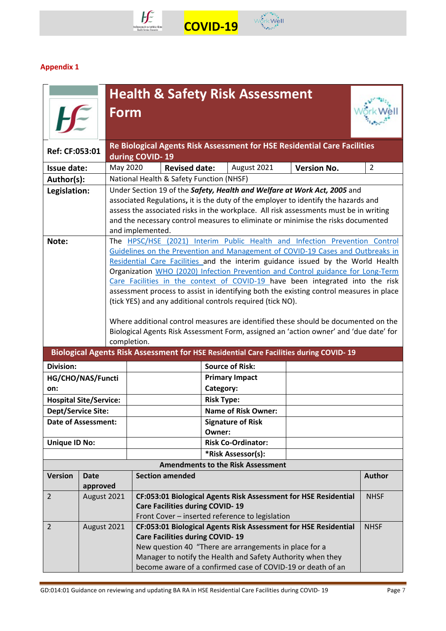



# **Appendix 1**

|                                                                                                                                                                                                                                                                                                                                                                                 |             | <b>Health &amp; Safety Risk Assessment</b>                                                                                                                                  |                 |                                                                                                                                                                                                                                                                                                   |                                                            |                                                                                                                                                                                                                                                                                                                                                                                                                                                                                                                                                                                                                                                                                               |                                                                                       |                |
|---------------------------------------------------------------------------------------------------------------------------------------------------------------------------------------------------------------------------------------------------------------------------------------------------------------------------------------------------------------------------------|-------------|-----------------------------------------------------------------------------------------------------------------------------------------------------------------------------|-----------------|---------------------------------------------------------------------------------------------------------------------------------------------------------------------------------------------------------------------------------------------------------------------------------------------------|------------------------------------------------------------|-----------------------------------------------------------------------------------------------------------------------------------------------------------------------------------------------------------------------------------------------------------------------------------------------------------------------------------------------------------------------------------------------------------------------------------------------------------------------------------------------------------------------------------------------------------------------------------------------------------------------------------------------------------------------------------------------|---------------------------------------------------------------------------------------|----------------|
|                                                                                                                                                                                                                                                                                                                                                                                 |             |                                                                                                                                                                             | Form            |                                                                                                                                                                                                                                                                                                   |                                                            |                                                                                                                                                                                                                                                                                                                                                                                                                                                                                                                                                                                                                                                                                               |                                                                                       |                |
| Ref: CF:053:01                                                                                                                                                                                                                                                                                                                                                                  |             |                                                                                                                                                                             | during COVID-19 |                                                                                                                                                                                                                                                                                                   |                                                            |                                                                                                                                                                                                                                                                                                                                                                                                                                                                                                                                                                                                                                                                                               | Re Biological Agents Risk Assessment for HSE Residential Care Facilities              |                |
| <b>Issue date:</b>                                                                                                                                                                                                                                                                                                                                                              |             | May 2020                                                                                                                                                                    |                 | <b>Revised date:</b>                                                                                                                                                                                                                                                                              |                                                            | August 2021                                                                                                                                                                                                                                                                                                                                                                                                                                                                                                                                                                                                                                                                                   | <b>Version No.</b>                                                                    | $\overline{2}$ |
| Author(s):                                                                                                                                                                                                                                                                                                                                                                      |             |                                                                                                                                                                             |                 | National Health & Safety Function (NHSF)                                                                                                                                                                                                                                                          |                                                            |                                                                                                                                                                                                                                                                                                                                                                                                                                                                                                                                                                                                                                                                                               |                                                                                       |                |
| Under Section 19 of the Safety, Health and Welfare at Work Act, 2005 and<br>Legislation:<br>associated Regulations, it is the duty of the employer to identify the hazards and<br>assess the associated risks in the workplace. All risk assessments must be in writing<br>and the necessary control measures to eliminate or minimise the risks documented<br>and implemented. |             |                                                                                                                                                                             |                 |                                                                                                                                                                                                                                                                                                   |                                                            |                                                                                                                                                                                                                                                                                                                                                                                                                                                                                                                                                                                                                                                                                               |                                                                                       |                |
| Note:                                                                                                                                                                                                                                                                                                                                                                           |             | completion.                                                                                                                                                                 |                 |                                                                                                                                                                                                                                                                                                   | (tick YES) and any additional controls required (tick NO). | The HPSC/HSE (2021) Interim Public Health and Infection Prevention Control<br>Guidelines on the Prevention and Management of COVID-19 Cases and Outbreaks in<br>Residential Care Facilities and the interim guidance issued by the World Health<br>Organization WHO (2020) Infection Prevention and Control guidance for Long-Term<br>Care Facilities in the context of COVID-19 have been integrated into the risk<br>assessment process to assist in identifying both the existing control measures in place<br>Where additional control measures are identified these should be documented on the<br>Biological Agents Risk Assessment Form, assigned an 'action owner' and 'due date' for |                                                                                       |                |
|                                                                                                                                                                                                                                                                                                                                                                                 |             |                                                                                                                                                                             |                 |                                                                                                                                                                                                                                                                                                   |                                                            |                                                                                                                                                                                                                                                                                                                                                                                                                                                                                                                                                                                                                                                                                               | Biological Agents Risk Assessment for HSE Residential Care Facilities during COVID-19 |                |
| <b>Division:</b>                                                                                                                                                                                                                                                                                                                                                                |             |                                                                                                                                                                             |                 |                                                                                                                                                                                                                                                                                                   |                                                            | <b>Source of Risk:</b>                                                                                                                                                                                                                                                                                                                                                                                                                                                                                                                                                                                                                                                                        |                                                                                       |                |
| HG/CHO/NAS/Functi                                                                                                                                                                                                                                                                                                                                                               |             |                                                                                                                                                                             |                 |                                                                                                                                                                                                                                                                                                   |                                                            | <b>Primary Impact</b>                                                                                                                                                                                                                                                                                                                                                                                                                                                                                                                                                                                                                                                                         |                                                                                       |                |
| on:                                                                                                                                                                                                                                                                                                                                                                             |             |                                                                                                                                                                             |                 |                                                                                                                                                                                                                                                                                                   | Category:                                                  |                                                                                                                                                                                                                                                                                                                                                                                                                                                                                                                                                                                                                                                                                               |                                                                                       |                |
| <b>Hospital Site/Service:</b>                                                                                                                                                                                                                                                                                                                                                   |             |                                                                                                                                                                             |                 |                                                                                                                                                                                                                                                                                                   | <b>Risk Type:</b>                                          |                                                                                                                                                                                                                                                                                                                                                                                                                                                                                                                                                                                                                                                                                               |                                                                                       |                |
| <b>Dept/Service Site:</b>                                                                                                                                                                                                                                                                                                                                                       |             |                                                                                                                                                                             |                 |                                                                                                                                                                                                                                                                                                   |                                                            | <b>Name of Risk Owner:</b>                                                                                                                                                                                                                                                                                                                                                                                                                                                                                                                                                                                                                                                                    |                                                                                       |                |
| <b>Date of Assessment:</b>                                                                                                                                                                                                                                                                                                                                                      |             |                                                                                                                                                                             |                 |                                                                                                                                                                                                                                                                                                   | Owner:                                                     | <b>Signature of Risk</b>                                                                                                                                                                                                                                                                                                                                                                                                                                                                                                                                                                                                                                                                      |                                                                                       |                |
| <b>Unique ID No:</b>                                                                                                                                                                                                                                                                                                                                                            |             |                                                                                                                                                                             |                 |                                                                                                                                                                                                                                                                                                   |                                                            | <b>Risk Co-Ordinator:</b>                                                                                                                                                                                                                                                                                                                                                                                                                                                                                                                                                                                                                                                                     |                                                                                       |                |
|                                                                                                                                                                                                                                                                                                                                                                                 |             |                                                                                                                                                                             |                 |                                                                                                                                                                                                                                                                                                   |                                                            | *Risk Assessor(s):                                                                                                                                                                                                                                                                                                                                                                                                                                                                                                                                                                                                                                                                            |                                                                                       |                |
|                                                                                                                                                                                                                                                                                                                                                                                 |             |                                                                                                                                                                             |                 |                                                                                                                                                                                                                                                                                                   |                                                            | <b>Amendments to the Risk Assessment</b>                                                                                                                                                                                                                                                                                                                                                                                                                                                                                                                                                                                                                                                      |                                                                                       |                |
| <b>Version</b>                                                                                                                                                                                                                                                                                                                                                                  | <b>Date</b> |                                                                                                                                                                             |                 | <b>Section amended</b>                                                                                                                                                                                                                                                                            |                                                            |                                                                                                                                                                                                                                                                                                                                                                                                                                                                                                                                                                                                                                                                                               |                                                                                       | <b>Author</b>  |
|                                                                                                                                                                                                                                                                                                                                                                                 | approved    |                                                                                                                                                                             |                 |                                                                                                                                                                                                                                                                                                   |                                                            |                                                                                                                                                                                                                                                                                                                                                                                                                                                                                                                                                                                                                                                                                               |                                                                                       |                |
| $\overline{2}$                                                                                                                                                                                                                                                                                                                                                                  |             | August 2021<br>CF:053:01 Biological Agents Risk Assessment for HSE Residential<br><b>Care Facilities during COVID-19</b><br>Front Cover - inserted reference to legislation |                 |                                                                                                                                                                                                                                                                                                   |                                                            | <b>NHSF</b>                                                                                                                                                                                                                                                                                                                                                                                                                                                                                                                                                                                                                                                                                   |                                                                                       |                |
| $\overline{2}$                                                                                                                                                                                                                                                                                                                                                                  | August 2021 |                                                                                                                                                                             |                 | CF:053:01 Biological Agents Risk Assessment for HSE Residential<br><b>Care Facilities during COVID-19</b><br>New question 40 "There are arrangements in place for a<br>Manager to notify the Health and Safety Authority when they<br>become aware of a confirmed case of COVID-19 or death of an |                                                            | <b>NHSF</b>                                                                                                                                                                                                                                                                                                                                                                                                                                                                                                                                                                                                                                                                                   |                                                                                       |                |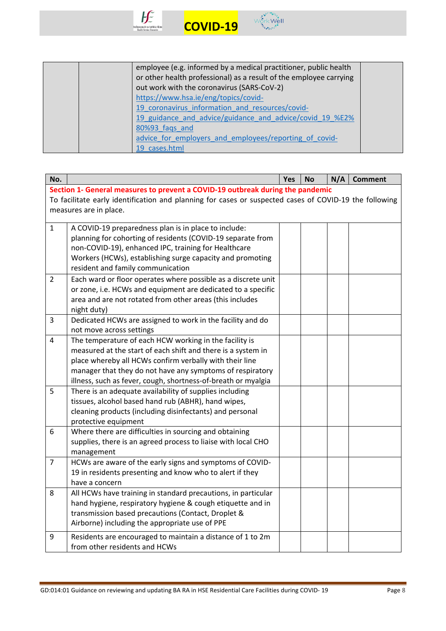



|  | employee (e.g. informed by a medical practitioner, public health   |  |
|--|--------------------------------------------------------------------|--|
|  | or other health professional) as a result of the employee carrying |  |
|  | out work with the coronavirus (SARS-CoV-2)                         |  |
|  | https://www.hsa.ie/eng/topics/covid-                               |  |
|  | 19 coronavirus information and resources/covid-                    |  |
|  | 19 guidance and advice/guidance and advice/covid 19 %E2%           |  |
|  | 80%93 fags and                                                     |  |
|  | advice for employers and employees/reporting of covid-             |  |
|  | 19 cases.html                                                      |  |

| No.                                                                                                    |                                                                                | Yes | <b>No</b> | N/A | <b>Comment</b> |  |  |  |
|--------------------------------------------------------------------------------------------------------|--------------------------------------------------------------------------------|-----|-----------|-----|----------------|--|--|--|
|                                                                                                        | Section 1- General measures to prevent a COVID-19 outbreak during the pandemic |     |           |     |                |  |  |  |
| To facilitate early identification and planning for cases or suspected cases of COVID-19 the following |                                                                                |     |           |     |                |  |  |  |
|                                                                                                        | measures are in place.                                                         |     |           |     |                |  |  |  |
|                                                                                                        |                                                                                |     |           |     |                |  |  |  |
| $\mathbf{1}$                                                                                           | A COVID-19 preparedness plan is in place to include:                           |     |           |     |                |  |  |  |
|                                                                                                        | planning for cohorting of residents (COVID-19 separate from                    |     |           |     |                |  |  |  |
|                                                                                                        | non-COVID-19), enhanced IPC, training for Healthcare                           |     |           |     |                |  |  |  |
|                                                                                                        | Workers (HCWs), establishing surge capacity and promoting                      |     |           |     |                |  |  |  |
|                                                                                                        | resident and family communication                                              |     |           |     |                |  |  |  |
| $\overline{2}$                                                                                         | Each ward or floor operates where possible as a discrete unit                  |     |           |     |                |  |  |  |
|                                                                                                        | or zone, i.e. HCWs and equipment are dedicated to a specific                   |     |           |     |                |  |  |  |
|                                                                                                        | area and are not rotated from other areas (this includes                       |     |           |     |                |  |  |  |
|                                                                                                        | night duty)                                                                    |     |           |     |                |  |  |  |
| 3                                                                                                      | Dedicated HCWs are assigned to work in the facility and do                     |     |           |     |                |  |  |  |
|                                                                                                        | not move across settings                                                       |     |           |     |                |  |  |  |
| $\overline{4}$                                                                                         | The temperature of each HCW working in the facility is                         |     |           |     |                |  |  |  |
|                                                                                                        | measured at the start of each shift and there is a system in                   |     |           |     |                |  |  |  |
|                                                                                                        | place whereby all HCWs confirm verbally with their line                        |     |           |     |                |  |  |  |
|                                                                                                        | manager that they do not have any symptoms of respiratory                      |     |           |     |                |  |  |  |
|                                                                                                        | illness, such as fever, cough, shortness-of-breath or myalgia                  |     |           |     |                |  |  |  |
| 5                                                                                                      | There is an adequate availability of supplies including                        |     |           |     |                |  |  |  |
|                                                                                                        | tissues, alcohol based hand rub (ABHR), hand wipes,                            |     |           |     |                |  |  |  |
|                                                                                                        | cleaning products (including disinfectants) and personal                       |     |           |     |                |  |  |  |
|                                                                                                        | protective equipment                                                           |     |           |     |                |  |  |  |
| 6                                                                                                      | Where there are difficulties in sourcing and obtaining                         |     |           |     |                |  |  |  |
|                                                                                                        | supplies, there is an agreed process to liaise with local CHO                  |     |           |     |                |  |  |  |
|                                                                                                        | management                                                                     |     |           |     |                |  |  |  |
| $\overline{7}$                                                                                         | HCWs are aware of the early signs and symptoms of COVID-                       |     |           |     |                |  |  |  |
|                                                                                                        | 19 in residents presenting and know who to alert if they                       |     |           |     |                |  |  |  |
|                                                                                                        | have a concern                                                                 |     |           |     |                |  |  |  |
| 8                                                                                                      | All HCWs have training in standard precautions, in particular                  |     |           |     |                |  |  |  |
|                                                                                                        | hand hygiene, respiratory hygiene & cough etiquette and in                     |     |           |     |                |  |  |  |
|                                                                                                        | transmission based precautions (Contact, Droplet &                             |     |           |     |                |  |  |  |
|                                                                                                        | Airborne) including the appropriate use of PPE                                 |     |           |     |                |  |  |  |
| 9                                                                                                      | Residents are encouraged to maintain a distance of 1 to 2m                     |     |           |     |                |  |  |  |
|                                                                                                        | from other residents and HCWs                                                  |     |           |     |                |  |  |  |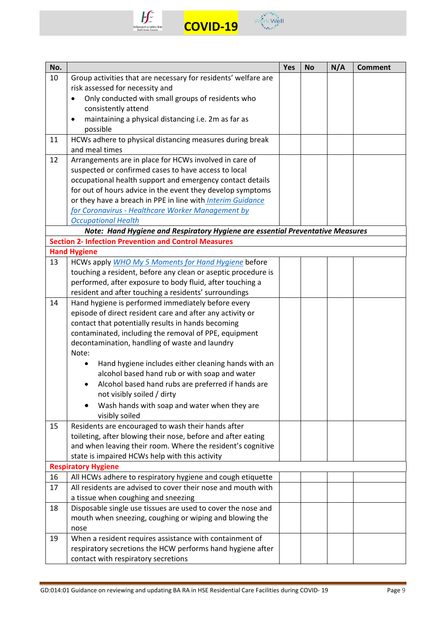



| No. |                                                                                | Yes | <b>No</b> | N/A | <b>Comment</b> |
|-----|--------------------------------------------------------------------------------|-----|-----------|-----|----------------|
| 10  | Group activities that are necessary for residents' welfare are                 |     |           |     |                |
|     | risk assessed for necessity and                                                |     |           |     |                |
|     | Only conducted with small groups of residents who<br>$\bullet$                 |     |           |     |                |
|     | consistently attend                                                            |     |           |     |                |
|     | maintaining a physical distancing i.e. 2m as far as<br>$\bullet$               |     |           |     |                |
|     | possible                                                                       |     |           |     |                |
| 11  | HCWs adhere to physical distancing measures during break                       |     |           |     |                |
|     | and meal times                                                                 |     |           |     |                |
| 12  | Arrangements are in place for HCWs involved in care of                         |     |           |     |                |
|     | suspected or confirmed cases to have access to local                           |     |           |     |                |
|     | occupational health support and emergency contact details                      |     |           |     |                |
|     | for out of hours advice in the event they develop symptoms                     |     |           |     |                |
|     | or they have a breach in PPE in line with Interim Guidance                     |     |           |     |                |
|     | for Coronavirus - Healthcare Worker Management by                              |     |           |     |                |
|     | <b>Occupational Health</b>                                                     |     |           |     |                |
|     | Note: Hand Hygiene and Respiratory Hygiene are essential Preventative Measures |     |           |     |                |
|     | <b>Section 2- Infection Prevention and Control Measures</b>                    |     |           |     |                |
|     | <b>Hand Hygiene</b>                                                            |     |           |     |                |
| 13  | HCWs apply WHO My 5 Moments for Hand Hygiene before                            |     |           |     |                |
|     | touching a resident, before any clean or aseptic procedure is                  |     |           |     |                |
|     | performed, after exposure to body fluid, after touching a                      |     |           |     |                |
|     | resident and after touching a residents' surroundings                          |     |           |     |                |
| 14  | Hand hygiene is performed immediately before every                             |     |           |     |                |
|     | episode of direct resident care and after any activity or                      |     |           |     |                |
|     | contact that potentially results in hands becoming                             |     |           |     |                |
|     | contaminated, including the removal of PPE, equipment                          |     |           |     |                |
|     | decontamination, handling of waste and laundry                                 |     |           |     |                |
|     | Note:                                                                          |     |           |     |                |
|     | Hand hygiene includes either cleaning hands with an                            |     |           |     |                |
|     | alcohol based hand rub or with soap and water                                  |     |           |     |                |
|     | Alcohol based hand rubs are preferred if hands are                             |     |           |     |                |
|     | not visibly soiled / dirty                                                     |     |           |     |                |
|     | Wash hands with soap and water when they are                                   |     |           |     |                |
|     | visibly soiled                                                                 |     |           |     |                |
| 15  | Residents are encouraged to wash their hands after                             |     |           |     |                |
|     | toileting, after blowing their nose, before and after eating                   |     |           |     |                |
|     | and when leaving their room. Where the resident's cognitive                    |     |           |     |                |
|     | state is impaired HCWs help with this activity                                 |     |           |     |                |
|     | <b>Respiratory Hygiene</b>                                                     |     |           |     |                |
| 16  | All HCWs adhere to respiratory hygiene and cough etiquette                     |     |           |     |                |
| 17  | All residents are advised to cover their nose and mouth with                   |     |           |     |                |
|     | a tissue when coughing and sneezing                                            |     |           |     |                |
| 18  | Disposable single use tissues are used to cover the nose and                   |     |           |     |                |
|     | mouth when sneezing, coughing or wiping and blowing the                        |     |           |     |                |
|     | nose                                                                           |     |           |     |                |
| 19  | When a resident requires assistance with containment of                        |     |           |     |                |
|     | respiratory secretions the HCW performs hand hygiene after                     |     |           |     |                |
|     | contact with respiratory secretions                                            |     |           |     |                |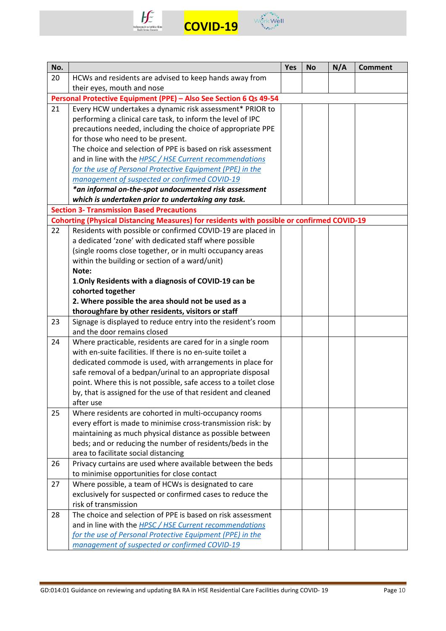



| No. |                                                                                                             | <b>Yes</b> | <b>No</b> | N/A | <b>Comment</b> |
|-----|-------------------------------------------------------------------------------------------------------------|------------|-----------|-----|----------------|
| 20  | HCWs and residents are advised to keep hands away from                                                      |            |           |     |                |
|     | their eyes, mouth and nose                                                                                  |            |           |     |                |
|     | Personal Protective Equipment (PPE) - Also See Section 6 Qs 49-54                                           |            |           |     |                |
| 21  | Every HCW undertakes a dynamic risk assessment* PRIOR to                                                    |            |           |     |                |
|     | performing a clinical care task, to inform the level of IPC                                                 |            |           |     |                |
|     | precautions needed, including the choice of appropriate PPE                                                 |            |           |     |                |
|     | for those who need to be present.                                                                           |            |           |     |                |
|     | The choice and selection of PPE is based on risk assessment                                                 |            |           |     |                |
|     | and in line with the HPSC / HSE Current recommendations                                                     |            |           |     |                |
|     | for the use of Personal Protective Equipment (PPE) in the                                                   |            |           |     |                |
|     | management of suspected or confirmed COVID-19                                                               |            |           |     |                |
|     | *an informal on-the-spot undocumented risk assessment                                                       |            |           |     |                |
|     | which is undertaken prior to undertaking any task.                                                          |            |           |     |                |
|     | <b>Section 3- Transmission Based Precautions</b>                                                            |            |           |     |                |
|     | <b>Cohorting (Physical Distancing Measures) for residents with possible or confirmed COVID-19</b>           |            |           |     |                |
| 22  | Residents with possible or confirmed COVID-19 are placed in                                                 |            |           |     |                |
|     | a dedicated 'zone' with dedicated staff where possible                                                      |            |           |     |                |
|     | (single rooms close together, or in multi occupancy areas<br>within the building or section of a ward/unit) |            |           |     |                |
|     | Note:                                                                                                       |            |           |     |                |
|     | 1. Only Residents with a diagnosis of COVID-19 can be                                                       |            |           |     |                |
|     | cohorted together                                                                                           |            |           |     |                |
|     | 2. Where possible the area should not be used as a                                                          |            |           |     |                |
|     | thoroughfare by other residents, visitors or staff                                                          |            |           |     |                |
| 23  | Signage is displayed to reduce entry into the resident's room                                               |            |           |     |                |
|     | and the door remains closed                                                                                 |            |           |     |                |
| 24  | Where practicable, residents are cared for in a single room                                                 |            |           |     |                |
|     | with en-suite facilities. If there is no en-suite toilet a                                                  |            |           |     |                |
|     | dedicated commode is used, with arrangements in place for                                                   |            |           |     |                |
|     | safe removal of a bedpan/urinal to an appropriate disposal                                                  |            |           |     |                |
|     | point. Where this is not possible, safe access to a toilet close                                            |            |           |     |                |
|     | by, that is assigned for the use of that resident and cleaned                                               |            |           |     |                |
|     | after use                                                                                                   |            |           |     |                |
| 25  | Where residents are cohorted in multi-occupancy rooms                                                       |            |           |     |                |
|     | every effort is made to minimise cross-transmission risk: by                                                |            |           |     |                |
|     | maintaining as much physical distance as possible between                                                   |            |           |     |                |
|     | beds; and or reducing the number of residents/beds in the                                                   |            |           |     |                |
|     | area to facilitate social distancing                                                                        |            |           |     |                |
| 26  | Privacy curtains are used where available between the beds                                                  |            |           |     |                |
|     | to minimise opportunities for close contact                                                                 |            |           |     |                |
| 27  | Where possible, a team of HCWs is designated to care                                                        |            |           |     |                |
|     | exclusively for suspected or confirmed cases to reduce the                                                  |            |           |     |                |
|     | risk of transmission                                                                                        |            |           |     |                |
| 28  | The choice and selection of PPE is based on risk assessment                                                 |            |           |     |                |
|     | and in line with the <b>HPSC</b> / HSE Current recommendations                                              |            |           |     |                |
|     | for the use of Personal Protective Equipment (PPE) in the                                                   |            |           |     |                |
|     | management of suspected or confirmed COVID-19                                                               |            |           |     |                |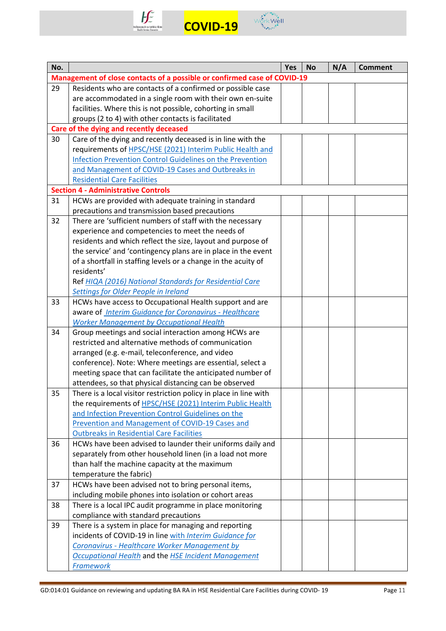



| No. |                                                                                                    | <b>Yes</b> | <b>No</b> | N/A | <b>Comment</b> |
|-----|----------------------------------------------------------------------------------------------------|------------|-----------|-----|----------------|
|     | Management of close contacts of a possible or confirmed case of COVID-19                           |            |           |     |                |
| 29  | Residents who are contacts of a confirmed or possible case                                         |            |           |     |                |
|     | are accommodated in a single room with their own en-suite                                          |            |           |     |                |
|     | facilities. Where this is not possible, cohorting in small                                         |            |           |     |                |
|     | groups (2 to 4) with other contacts is facilitated                                                 |            |           |     |                |
|     | Care of the dying and recently deceased                                                            |            |           |     |                |
| 30  | Care of the dying and recently deceased is in line with the                                        |            |           |     |                |
|     | requirements of <b>HPSC/HSE</b> (2021) Interim Public Health and                                   |            |           |     |                |
|     | <b>Infection Prevention Control Guidelines on the Prevention</b>                                   |            |           |     |                |
|     | and Management of COVID-19 Cases and Outbreaks in                                                  |            |           |     |                |
|     | <b>Residential Care Facilities</b>                                                                 |            |           |     |                |
|     | <b>Section 4 - Administrative Controls</b>                                                         |            |           |     |                |
| 31  | HCWs are provided with adequate training in standard                                               |            |           |     |                |
|     | precautions and transmission based precautions                                                     |            |           |     |                |
| 32  | There are 'sufficient numbers of staff with the necessary                                          |            |           |     |                |
|     | experience and competencies to meet the needs of                                                   |            |           |     |                |
|     | residents and which reflect the size, layout and purpose of                                        |            |           |     |                |
|     | the service' and 'contingency plans are in place in the event                                      |            |           |     |                |
|     | of a shortfall in staffing levels or a change in the acuity of                                     |            |           |     |                |
|     | residents'                                                                                         |            |           |     |                |
|     | Ref HIQA (2016) National Standards for Residential Care                                            |            |           |     |                |
|     | <b>Settings for Older People in Ireland</b>                                                        |            |           |     |                |
| 33  | HCWs have access to Occupational Health support and are                                            |            |           |     |                |
|     | aware of <b>Interim Guidance for Coronavirus</b> - Healthcare                                      |            |           |     |                |
|     | <b>Worker Management by Occupational Health</b>                                                    |            |           |     |                |
| 34  | Group meetings and social interaction among HCWs are                                               |            |           |     |                |
|     | restricted and alternative methods of communication                                                |            |           |     |                |
|     | arranged (e.g. e-mail, teleconference, and video                                                   |            |           |     |                |
|     | conference). Note: Where meetings are essential, select a                                          |            |           |     |                |
|     | meeting space that can facilitate the anticipated number of                                        |            |           |     |                |
|     | attendees, so that physical distancing can be observed                                             |            |           |     |                |
| 35  | There is a local visitor restriction policy in place in line with                                  |            |           |     |                |
|     | the requirements of HPSC/HSE (2021) Interim Public Health                                          |            |           |     |                |
|     | and Infection Prevention Control Guidelines on the                                                 |            |           |     |                |
|     | Prevention and Management of COVID-19 Cases and<br><b>Outbreaks in Residential Care Facilities</b> |            |           |     |                |
| 36  | HCWs have been advised to launder their uniforms daily and                                         |            |           |     |                |
|     | separately from other household linen (in a load not more                                          |            |           |     |                |
|     | than half the machine capacity at the maximum                                                      |            |           |     |                |
|     | temperature the fabric)                                                                            |            |           |     |                |
| 37  | HCWs have been advised not to bring personal items,                                                |            |           |     |                |
|     | including mobile phones into isolation or cohort areas                                             |            |           |     |                |
| 38  | There is a local IPC audit programme in place monitoring                                           |            |           |     |                |
|     | compliance with standard precautions                                                               |            |           |     |                |
| 39  | There is a system in place for managing and reporting                                              |            |           |     |                |
|     | incidents of COVID-19 in line with Interim Guidance for                                            |            |           |     |                |
|     | Coronavirus - Healthcare Worker Management by                                                      |            |           |     |                |
|     | Occupational Health and the HSE Incident Management                                                |            |           |     |                |
|     | <b>Framework</b>                                                                                   |            |           |     |                |
|     |                                                                                                    |            |           |     |                |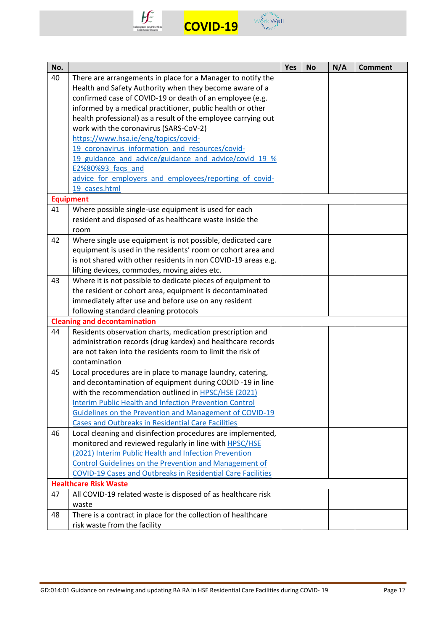



| No. |                                                                    | Yes | <b>No</b> | N/A | <b>Comment</b> |
|-----|--------------------------------------------------------------------|-----|-----------|-----|----------------|
| 40  | There are arrangements in place for a Manager to notify the        |     |           |     |                |
|     | Health and Safety Authority when they become aware of a            |     |           |     |                |
|     | confirmed case of COVID-19 or death of an employee (e.g.           |     |           |     |                |
|     | informed by a medical practitioner, public health or other         |     |           |     |                |
|     | health professional) as a result of the employee carrying out      |     |           |     |                |
|     | work with the coronavirus (SARS-CoV-2)                             |     |           |     |                |
|     | https://www.hsa.ie/eng/topics/covid-                               |     |           |     |                |
|     | 19 coronavirus information and resources/covid-                    |     |           |     |                |
|     | 19 guidance and advice/guidance and advice/covid 19 %              |     |           |     |                |
|     | E2%80%93_faqs_and                                                  |     |           |     |                |
|     | advice for employers and employees/reporting of covid-             |     |           |     |                |
|     | 19 cases.html                                                      |     |           |     |                |
|     | <b>Equipment</b>                                                   |     |           |     |                |
| 41  | Where possible single-use equipment is used for each               |     |           |     |                |
|     | resident and disposed of as healthcare waste inside the            |     |           |     |                |
|     | room                                                               |     |           |     |                |
| 42  | Where single use equipment is not possible, dedicated care         |     |           |     |                |
|     | equipment is used in the residents' room or cohort area and        |     |           |     |                |
|     | is not shared with other residents in non COVID-19 areas e.g.      |     |           |     |                |
|     | lifting devices, commodes, moving aides etc.                       |     |           |     |                |
| 43  | Where it is not possible to dedicate pieces of equipment to        |     |           |     |                |
|     | the resident or cohort area, equipment is decontaminated           |     |           |     |                |
|     | immediately after use and before use on any resident               |     |           |     |                |
|     | following standard cleaning protocols                              |     |           |     |                |
|     | <b>Cleaning and decontamination</b>                                |     |           |     |                |
| 44  | Residents observation charts, medication prescription and          |     |           |     |                |
|     | administration records (drug kardex) and healthcare records        |     |           |     |                |
|     | are not taken into the residents room to limit the risk of         |     |           |     |                |
|     | contamination                                                      |     |           |     |                |
| 45  | Local procedures are in place to manage laundry, catering,         |     |           |     |                |
|     | and decontamination of equipment during CODID -19 in line          |     |           |     |                |
|     | with the recommendation outlined in HPSC/HSE (2021)                |     |           |     |                |
|     | <b>Interim Public Health and Infection Prevention Control</b>      |     |           |     |                |
|     | Guidelines on the Prevention and Management of COVID-19            |     |           |     |                |
|     | <b>Cases and Outbreaks in Residential Care Facilities</b>          |     |           |     |                |
| 46  | Local cleaning and disinfection procedures are implemented,        |     |           |     |                |
|     | monitored and reviewed regularly in line with HPSC/HSE             |     |           |     |                |
|     | (2021) Interim Public Health and Infection Prevention              |     |           |     |                |
|     | Control Guidelines on the Prevention and Management of             |     |           |     |                |
|     | <b>COVID-19 Cases and Outbreaks in Residential Care Facilities</b> |     |           |     |                |
|     | <b>Healthcare Risk Waste</b>                                       |     |           |     |                |
| 47  | All COVID-19 related waste is disposed of as healthcare risk       |     |           |     |                |
|     | waste                                                              |     |           |     |                |
| 48  | There is a contract in place for the collection of healthcare      |     |           |     |                |
|     | risk waste from the facility                                       |     |           |     |                |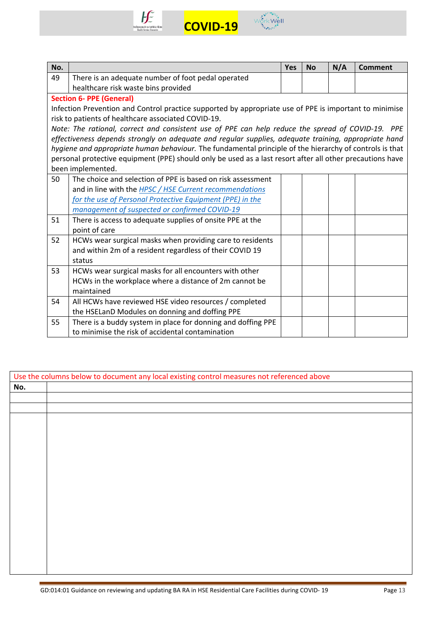



| No. |                                                                                                           | <b>Yes</b> | <b>No</b> | N/A | <b>Comment</b> |
|-----|-----------------------------------------------------------------------------------------------------------|------------|-----------|-----|----------------|
| 49  | There is an adequate number of foot pedal operated                                                        |            |           |     |                |
|     | healthcare risk waste bins provided                                                                       |            |           |     |                |
|     | <b>Section 6- PPE (General)</b>                                                                           |            |           |     |                |
|     | Infection Prevention and Control practice supported by appropriate use of PPE is important to minimise    |            |           |     |                |
|     | risk to patients of healthcare associated COVID-19.                                                       |            |           |     |                |
|     | Note: The rational, correct and consistent use of PPE can help reduce the spread of COVID-19. PPE         |            |           |     |                |
|     | effectiveness depends strongly on adequate and regular supplies, adequate training, appropriate hand      |            |           |     |                |
|     | hygiene and appropriate human behaviour. The fundamental principle of the hierarchy of controls is that   |            |           |     |                |
|     | personal protective equipment (PPE) should only be used as a last resort after all other precautions have |            |           |     |                |
|     | been implemented.                                                                                         |            |           |     |                |
| 50  | The choice and selection of PPE is based on risk assessment                                               |            |           |     |                |
|     | and in line with the HPSC / HSE Current recommendations                                                   |            |           |     |                |
|     | for the use of Personal Protective Equipment (PPE) in the                                                 |            |           |     |                |
|     | management of suspected or confirmed COVID-19                                                             |            |           |     |                |
| 51  | There is access to adequate supplies of onsite PPE at the                                                 |            |           |     |                |
|     | point of care                                                                                             |            |           |     |                |
| 52  | HCWs wear surgical masks when providing care to residents                                                 |            |           |     |                |
|     | and within 2m of a resident regardless of their COVID 19                                                  |            |           |     |                |
|     | status                                                                                                    |            |           |     |                |
| 53  | HCWs wear surgical masks for all encounters with other                                                    |            |           |     |                |
|     | HCWs in the workplace where a distance of 2m cannot be                                                    |            |           |     |                |
|     | maintained                                                                                                |            |           |     |                |
| 54  | All HCWs have reviewed HSE video resources / completed                                                    |            |           |     |                |
|     | the HSELanD Modules on donning and doffing PPE                                                            |            |           |     |                |
| 55  | There is a buddy system in place for donning and doffing PPE                                              |            |           |     |                |
|     | to minimise the risk of accidental contamination                                                          |            |           |     |                |

|     | Use the columns below to document any local existing control measures not referenced above |
|-----|--------------------------------------------------------------------------------------------|
| No. |                                                                                            |
|     |                                                                                            |
|     |                                                                                            |
|     |                                                                                            |
|     |                                                                                            |
|     |                                                                                            |
|     |                                                                                            |
|     |                                                                                            |
|     |                                                                                            |
|     |                                                                                            |
|     |                                                                                            |
|     |                                                                                            |
|     |                                                                                            |
|     |                                                                                            |
|     |                                                                                            |
|     |                                                                                            |
|     |                                                                                            |
|     |                                                                                            |
|     |                                                                                            |